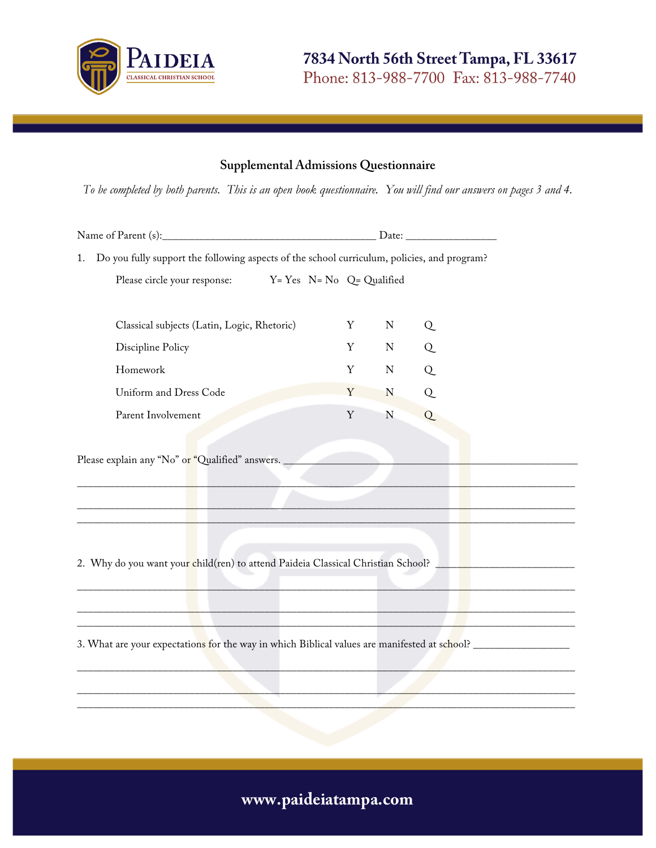

#### **Supplemental Admissions Questionnaire**

*To be completed by both parents. This is an open book questionnaire. You will find our answers on pages 3 and 4.*

| Do you fully support the following aspects of the school curriculum, policies, and program?<br>1.              |   |             |   |
|----------------------------------------------------------------------------------------------------------------|---|-------------|---|
| Please circle your response: Y= Yes N= No Q= Qualified                                                         |   |             |   |
|                                                                                                                |   |             |   |
| Classical subjects (Latin, Logic, Rhetoric)                                                                    | Y | $\mathbf N$ | Q |
| Discipline Policy                                                                                              | Y | ${\bf N}$   | Q |
| Homework                                                                                                       | Y | $\mathbf N$ | Q |
| Uniform and Dress Code                                                                                         | Y | N           | Q |
| Parent Involvement                                                                                             | Y | ${\bf N}$   | Q |
|                                                                                                                |   |             |   |
| Please explain any "No" or "Qualified" answers.<br><b>Contract Contract Contract</b>                           |   |             |   |
|                                                                                                                |   |             |   |
| 2. Why do you want your child(ren) to attend Paideia Classical Christian School?                               |   |             |   |
|                                                                                                                |   |             |   |
|                                                                                                                |   |             |   |
| the contract of the contract of the contract of the contract of the contract of the contract of                |   |             |   |
| 3. What are your expectations for the way in which Biblical values are manifested at school? _________________ |   |             |   |
|                                                                                                                |   |             |   |
|                                                                                                                |   |             |   |
|                                                                                                                |   |             |   |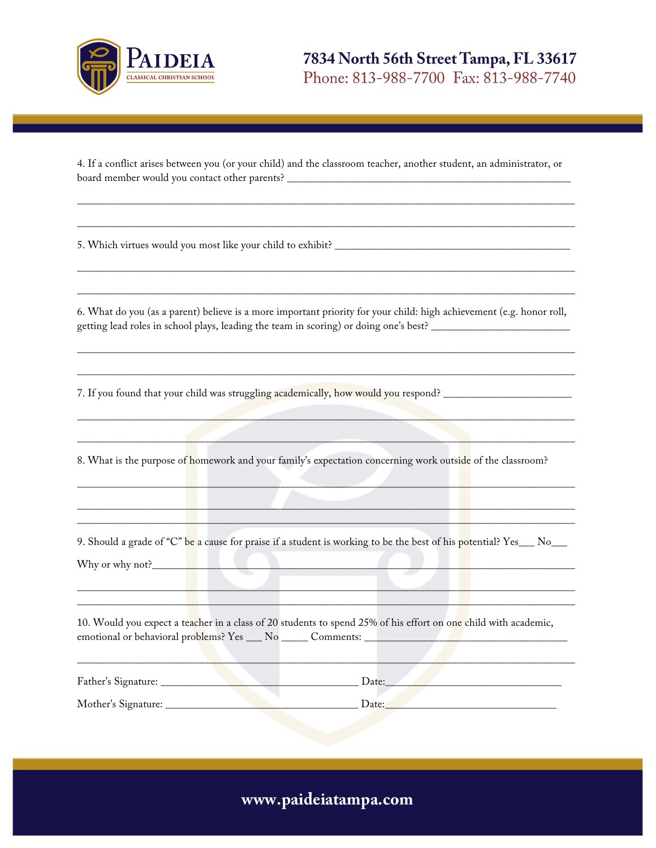

4. If a conflict arises between you (or your child) and the classroom teacher, another student, an administrator, or board member would you contact other parents? \_\_\_\_\_\_\_\_\_\_\_\_\_\_\_\_\_\_\_\_\_\_\_\_\_\_\_\_\_\_\_\_\_\_\_\_\_\_\_\_\_\_\_\_\_\_\_\_\_\_\_\_\_

\_\_\_\_\_\_\_\_\_\_\_\_\_\_\_\_\_\_\_\_\_\_\_\_\_\_\_\_\_\_\_\_\_\_\_\_\_\_\_\_\_\_\_\_\_\_\_\_\_\_\_\_\_\_\_\_\_\_\_\_\_\_\_\_\_\_\_\_\_\_\_\_\_\_\_\_\_\_\_\_\_\_\_\_\_\_\_\_\_\_\_\_\_

\_\_\_\_\_\_\_\_\_\_\_\_\_\_\_\_\_\_\_\_\_\_\_\_\_\_\_\_\_\_\_\_\_\_\_\_\_\_\_\_\_\_\_\_\_\_\_\_\_\_\_\_\_\_\_\_\_\_\_\_\_\_\_\_\_\_\_\_\_\_\_\_\_\_\_\_\_\_\_\_\_\_\_\_\_\_\_\_\_\_\_\_\_

\_\_\_\_\_\_\_\_\_\_\_\_\_\_\_\_\_\_\_\_\_\_\_\_\_\_\_\_\_\_\_\_\_\_\_\_\_\_\_\_\_\_\_\_\_\_\_\_\_\_\_\_\_\_\_\_\_\_\_\_\_\_\_\_\_\_\_\_\_\_\_\_\_\_\_\_\_\_\_\_\_\_\_\_\_\_\_\_\_\_\_\_\_

\_\_\_\_\_\_\_\_\_\_\_\_\_\_\_\_\_\_\_\_\_\_\_\_\_\_\_\_\_\_\_\_\_\_\_\_\_\_\_\_\_\_\_\_\_\_\_\_\_\_\_\_\_\_\_\_\_\_\_\_\_\_\_\_\_\_\_\_\_\_\_\_\_\_\_\_\_\_\_\_\_\_\_\_\_\_\_\_\_\_\_\_\_

5. Which virtues would you most like your child to exhibit? \_\_\_\_\_\_\_\_\_\_\_\_\_\_\_\_\_\_\_\_\_

6. What do you (as a parent) believe is a more important priority for your child: high achievement (e.g. honor roll, getting lead roles in school plays, leading the team in scoring) or doing one's best? \_\_\_\_\_\_\_\_\_\_\_\_\_\_\_\_\_\_\_\_\_\_\_\_\_\_\_

\_\_\_\_\_\_\_\_\_\_\_\_\_\_\_\_\_\_\_\_\_\_\_\_\_\_\_\_\_\_\_\_\_\_\_\_\_\_\_\_\_\_\_\_\_\_\_\_\_\_\_\_\_\_\_\_\_\_\_\_\_\_\_\_\_\_\_\_\_\_\_\_\_\_\_\_\_\_\_\_\_\_\_\_\_\_\_\_\_\_\_\_\_

\_\_\_\_\_\_\_\_\_\_\_\_\_\_\_\_\_\_\_\_\_\_\_\_\_\_\_\_\_\_\_\_\_\_\_\_\_\_\_\_\_\_\_\_\_\_\_\_\_\_\_\_\_\_\_\_\_\_\_\_\_\_\_\_\_\_\_\_\_\_\_\_\_\_\_\_\_\_\_\_\_\_\_\_\_\_\_\_\_\_\_\_\_

7. If you found that your child was struggling academically, how would you respond? \_\_\_\_\_\_\_\_\_\_\_\_\_\_\_\_\_\_\_\_\_\_\_\_\_\_

8. What is the purpose of homework and your family's expectation concerning work outside of the classroom?

 $\mathcal{L}=\mathcal{L}=\mathcal{L}=\mathcal{L}=\mathcal{L}=\mathcal{L}=\mathcal{L}=\mathcal{L}=\mathcal{L}=\mathcal{L}=\mathcal{L}=\mathcal{L}=\mathcal{L}=\mathcal{L}=\mathcal{L}=\mathcal{L}=\mathcal{L}=\mathcal{L}=\mathcal{L}=\mathcal{L}=\mathcal{L}=\mathcal{L}=\mathcal{L}=\mathcal{L}=\mathcal{L}=\mathcal{L}=\mathcal{L}=\mathcal{L}=\mathcal{L}=\mathcal{L}=\mathcal{L}=\mathcal{L}=\mathcal{L}=\mathcal{L}=\mathcal{L}=\mathcal{L}=\mathcal{$ 

\_\_\_\_\_\_\_\_\_\_\_\_\_\_\_\_\_\_\_\_\_\_\_\_\_\_\_\_\_\_\_\_\_\_\_\_\_\_\_\_\_\_\_\_\_\_\_\_\_\_\_\_\_\_\_\_\_\_\_\_\_\_\_\_\_\_\_\_\_\_\_\_\_\_\_\_\_\_\_\_\_\_\_\_\_\_\_\_\_\_\_\_\_

\_\_\_\_\_\_\_\_\_\_\_\_\_\_\_\_\_\_\_\_\_\_\_\_\_\_\_\_\_\_\_\_\_\_\_\_\_\_\_\_\_\_\_\_\_\_\_\_\_\_\_\_\_\_\_\_\_\_\_\_\_\_\_\_\_\_\_\_\_\_\_\_\_\_\_\_\_\_\_\_\_\_\_\_\_\_\_\_\_\_\_\_\_

\_\_\_\_\_\_\_\_\_\_\_\_\_\_\_\_\_\_\_\_\_\_\_\_\_\_\_\_\_\_\_\_\_\_\_\_\_\_\_\_\_\_\_\_\_\_\_\_\_\_\_\_\_\_\_\_\_\_\_\_\_\_\_\_\_\_\_\_\_\_\_\_\_\_\_\_\_\_\_\_\_\_\_\_\_\_\_\_\_\_\_\_\_ \_\_\_\_\_\_\_\_\_\_\_\_\_\_\_\_\_\_\_\_\_\_\_\_\_\_\_\_\_\_\_\_\_\_\_\_\_\_\_\_\_\_\_\_\_\_\_\_\_\_\_\_\_\_\_\_\_\_\_\_\_\_\_\_\_\_\_\_\_\_\_\_\_\_\_\_\_\_\_\_\_\_\_\_\_\_\_\_\_\_\_\_\_

9. Should a grade of "C" be a cause for praise if a student is working to be the best of his potential? Yes\_\_\_ No\_\_\_ Why or why not?\_\_\_\_\_\_\_\_\_\_\_\_\_\_\_\_\_\_\_\_\_\_\_\_\_\_\_\_\_\_\_\_\_\_\_\_\_\_\_\_\_\_\_\_\_\_\_\_\_\_\_\_\_\_\_\_\_\_\_\_\_\_\_\_\_\_\_\_\_\_\_\_\_\_\_\_\_\_\_

\_\_\_\_\_\_\_\_\_\_\_\_\_\_\_\_\_\_\_\_\_\_\_\_\_\_\_\_\_\_\_\_\_\_\_\_\_\_\_\_\_\_\_\_\_\_\_\_\_\_\_\_\_\_\_\_\_\_\_\_\_\_\_\_\_\_\_\_\_\_\_\_\_\_\_\_\_\_\_\_\_\_\_\_\_\_\_\_\_\_\_\_\_ \_\_\_\_\_\_\_\_\_\_\_\_\_\_\_\_\_\_\_\_\_\_\_\_\_\_\_\_\_\_\_\_\_\_\_\_\_\_\_\_\_\_\_\_\_\_\_\_\_\_\_\_\_\_\_\_\_\_\_\_\_\_\_\_\_\_\_\_\_\_\_\_\_\_\_\_\_\_\_\_\_\_\_\_\_\_\_\_\_\_\_\_\_

10. Would you expect a teacher in a class of 20 students to spend 25% of his effort on one child with academic, emotional or behavioral problems? Yes \_\_\_ No \_\_\_\_\_ Comments: \_\_\_\_\_\_\_\_\_\_\_\_\_\_\_\_\_\_\_\_\_\_\_\_\_\_\_\_\_\_\_\_\_\_\_\_\_\_

| Father's Signature: |  |
|---------------------|--|
| Mother's Signature: |  |

\_\_\_\_\_\_\_\_\_\_\_\_\_\_\_\_\_\_\_\_\_\_\_\_\_\_\_\_\_\_\_\_\_\_\_\_\_\_\_\_\_\_\_\_\_\_\_\_\_\_\_\_\_\_\_\_\_\_\_\_\_\_\_\_\_\_\_\_\_\_\_\_\_\_\_\_\_\_\_\_\_\_\_\_\_\_\_\_\_\_\_\_\_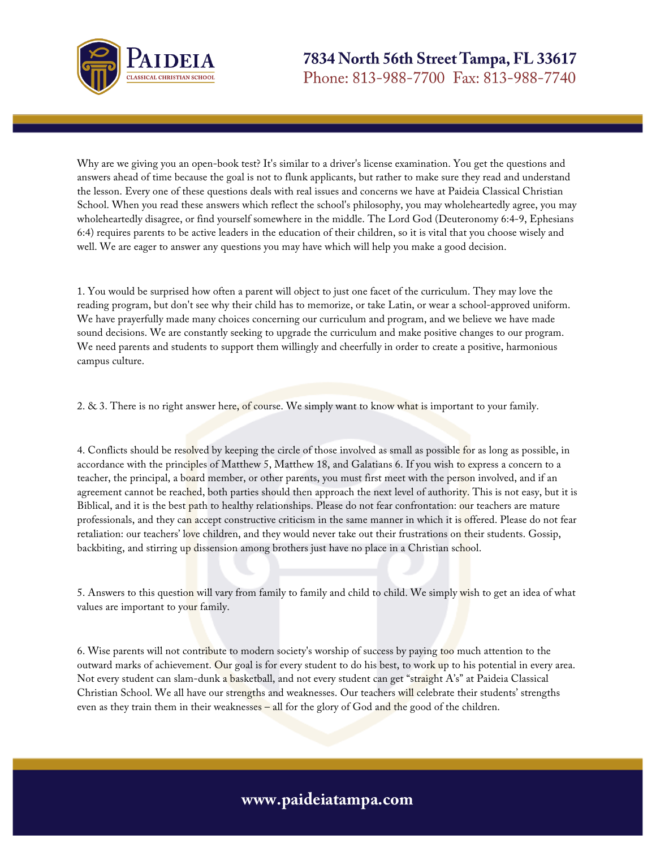

Why are we giving you an open-book test? It's similar to a driver's license examination. You get the questions and answers ahead of time because the goal is not to flunk applicants, but rather to make sure they read and understand the lesson. Every one of these questions deals with real issues and concerns we have at Paideia Classical Christian School. When you read these answers which reflect the school's philosophy, you may wholeheartedly agree, you may wholeheartedly disagree, or find yourself somewhere in the middle. The Lord God (Deuteronomy 6:4-9, Ephesians 6:4) requires parents to be active leaders in the education of their children, so it is vital that you choose wisely and well. We are eager to answer any questions you may have which will help you make a good decision.

1. You would be surprised how often a parent will object to just one facet of the curriculum. They may love the reading program, but don't see why their child has to memorize, or take Latin, or wear a school-approved uniform. We have prayerfully made many choices concerning our curriculum and program, and we believe we have made sound decisions. We are constantly seeking to upgrade the curriculum and make positive changes to our program. We need parents and students to support them willingly and cheerfully in order to create a positive, harmonious campus culture.

2. & 3. There is no right answer here, of course. We simply want to know what is important to your family.

4. Conflicts should be resolved by keeping the circle of those involved as small as possible for as long as possible, in accordance with the principles of Matthew 5, Matthew 18, and Galatians 6. If you wish to express a concern to a teacher, the principal, a board member, or other parents, you must first meet with the person involved, and if an agreement cannot be reached, both parties should then approach the next level of authority. This is not easy, but it is Biblical, and it is the best path to healthy relationships. Please do not fear confrontation: our teachers are mature professionals, and they can accept constructive criticism in the same manner in which it is offered. Please do not fear retaliation: our teachers' love children, and they would never take out their frustrations on their students. Gossip, backbiting, and stirring up dissension among brothers just have no place in a Christian school.

5. Answers to this question will vary from family to family and child to child. We simply wish to get an idea of what values are important to your family.

6. Wise parents will not contribute to modern society's worship of success by paying too much attention to the outward marks of achievement. Our goal is for every student to do his best, to work up to his potential in every area. Not every student can slam-dunk a basketball, and not every student can get "straight A's" at Paideia Classical Christian School. We all have our strengths and weaknesses. Our teachers will celebrate their students' strengths even as they train them in their weaknesses - all for the glory of God and the good of the children.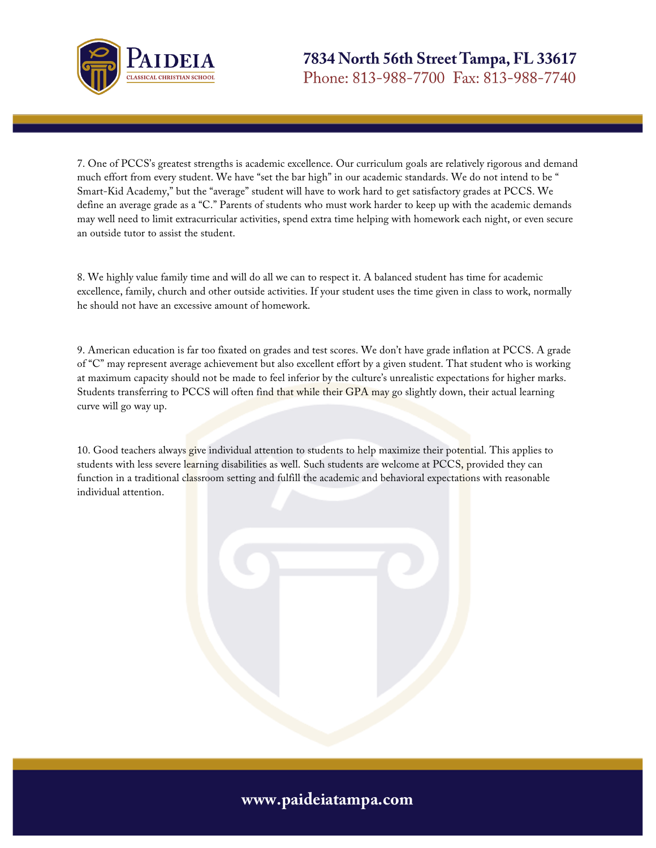

7. One of PCCS's greatest strengths is academic excellence. Our curriculum goals are relatively rigorous and demand much effort from every student. We have "set the bar high" in our academic standards. We do not intend to be " Smart-Kid Academy," but the "average" student will have to work hard to get satisfactory grades at PCCS. We define an average grade as a "C." Parents of students who must work harder to keep up with the academic demands may well need to limit extracurricular activities, spend extra time helping with homework each night, or even secure an outside tutor to assist the student.

8. We highly value family time and will do all we can to respect it. A balanced student has time for academic excellence, family, church and other outside activities. If your student uses the time given in class to work, normally he should not have an excessive amount of homework.

9. American education is far too fixated on grades and test scores. We don't have grade inflation at PCCS. A grade of "C" may represent average achievement but also excellent effort by a given student. That student who is working at maximum capacity should not be made to feel inferior by the culture's unrealistic expectations for higher marks. Students transferring to PCCS will often find that while their GPA may go slightly down, their actual learning curve will go way up.

10. Good teachers always give individual attention to students to help maximize their potential. This applies to students with less severe learning disabilities as well. Such students are welcome at PCCS, provided they can function in a traditional classroom setting and fulfill the academic and behavioral expectations with reasonable individual attention.

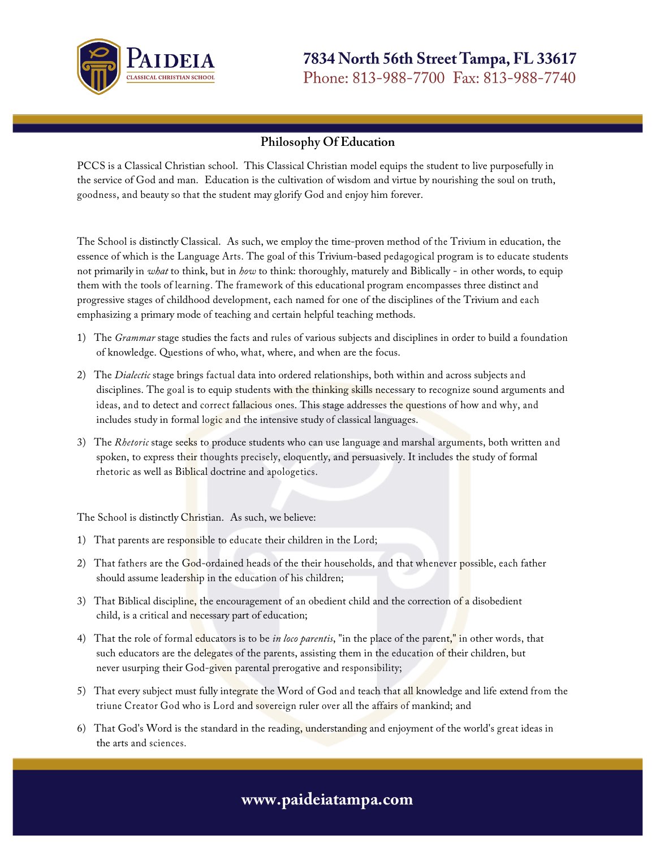

7834 North 56th Street Tampa, FL 33617 Phone: 813-988-7700 Fax: 813-988-7740

#### **Philosophy Of Education**

PCCS is a Classical Christian school. This Classical Christian model equips the student to live purposefully in the service of God and man. Education is the cultivation of wisdom and virtue by nourishing the soul on truth, goodness, and beauty so that the student may glorify God and enjoy him forever.

The School is distinctly Classical. As such, we employ the time-proven method of the Trivium in education, the essence of which is the Language Arts. The goal of this Trivium-based pedagogical program is to educate students not primarily in *what* to think, but in *how* to think: thoroughly, maturely and Biblically - in other words, to equip them with the tools of learning. The framework of this educational program encompasses three distinct and progressive stages of childhood development, each named for one of the disciplines of the Trivium and each emphasizing a primary mode of teaching and certain helpful teaching methods.

- 1) The *Grammar* stage studies the facts and rules of various subjects and disciplines in order to build a foundation of knowledge. Questions of who, what, where, and when are the focus.
- 2) The *Dialectic* stage brings factual data into ordered relationships, both within and across subjects and disciplines. The goal is to equip students with the thinking skills necessary to recognize sound arguments and ideas, and to detect and correct fallacious ones. This stage addresses the questions of how and why, and includes study in formal logic and the intensive study of classical languages.
- 3) The *Rhetoric* stage seeks to produce students who can use language and marshal arguments, both written and spoken, to express their thoughts precisely, eloquently, and persuasively. It includes the study of formal rhetoric as well as Biblical doctrine and apologetics.

The School is distinctly Christian. As such, we believe:

- 1) That parents are responsible to educate their children in the Lord;
- 2) That fathers are the God-ordained heads of the their households, and that whenever possible, each father should assume leadership in the education of his children;
- 3) That Biblical discipline, the encouragement of an obedient child and the correction of a disobedient child, is a critical and necessary part of education;
- 4) That the role of formal educators is to be *in loco parentis*, "in the place of the parent," in other words, that such educators are the delegates of the parents, assisting them in the education of their children, but never usurping their God-given parental prerogative and responsibility;
- 5) That every subject must fully integrate the Word of God and teach that all knowledge and life extend from the triune Creator God who is Lord and sovereign ruler over all the affairs of mankind; and
- 6) That God's Word is the standard in the reading, understanding and enjoyment of the world's great ideas in the arts and sciences.